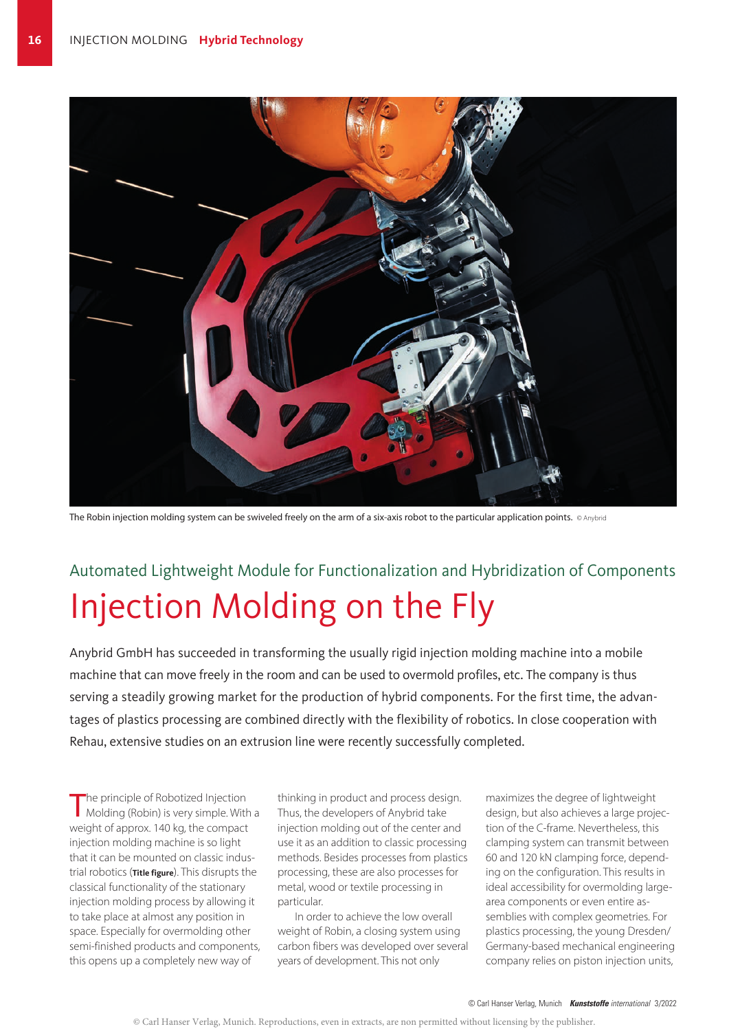

The Robin injection molding system can be swiveled freely on the arm of a six-axis robot to the particular application points. © Anybrid

# Automated Lightweight Module for Functionalization and Hybridization of Components Injection Molding on the Fly

Anybrid GmbH has succeeded in transforming the usually rigid injection molding machine into a mobile machine that can move freely in the room and can be used to overmold profiles, etc. The company is thus serving a steadily growing market for the production of hybrid components. For the first time, the advantages of plastics processing are combined directly with the flexibility of robotics. In close cooperation with Rehau, extensive studies on an extrusion line were recently successfully completed.

The principle of Robotized Injection<br>
Molding (Robin) is very simple. With a weight of approx. 140 kg, the compact injection molding machine is so light that it can be mounted on classic industrial robotics (**Title figure**). This disrupts the classical functionality of the stationary injection molding process by allowing it to take place at almost any position in space. Especially for overmolding other semi-finished products and components, this opens up a completely new way of

thinking in product and process design. Thus, the developers of Anybrid take injection molding out of the center and use it as an addition to classic processing methods. Besides processes from plastics processing, these are also processes for metal, wood or textile processing in particular.

In order to achieve the low overall weight of Robin, a closing system using carbon fibers was developed over several years of development. This not only

maximizes the degree of lightweight design, but also achieves a large projection of the C-frame. Nevertheless, this clamping system can transmit between 60 and 120 kN clamping force, depending on the configuration. This results in ideal accessibility for overmolding largearea components or even entire assemblies with complex geometries. For plastics processing, the young Dresden/ Germany-based mechanical engineering company relies on piston injection units,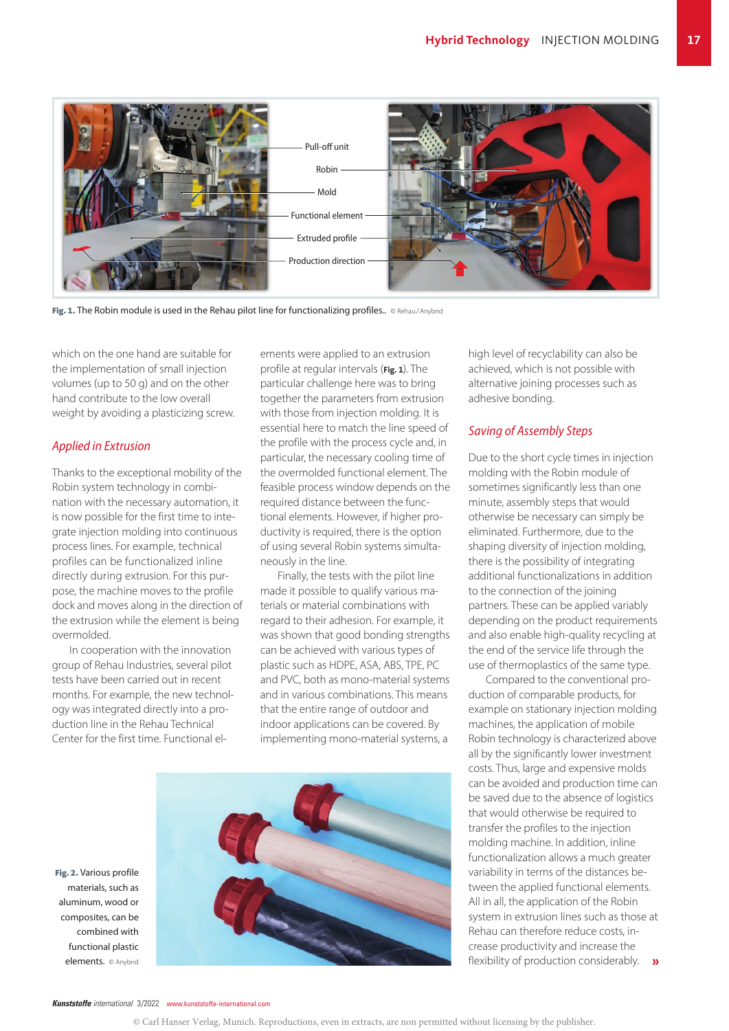

Fig. 1. The Robin module is used in the Rehau pilot line for functionalizing profiles.. © Rehau/Anybrid

which on the one hand are suitable for the implementation of small injection volumes (up to 50 g) and on the other hand contribute to the low overall weight by avoiding a plasticizing screw.

### *Applied in Extrusion*

Thanks to the exceptional mobility of the Robin system technology in combination with the necessary automation, it is now possible for the first time to integrate injection molding into continuous process lines. For example, technical profiles can be functionalized inline directly during extrusion. For this purpose, the machine moves to the profile dock and moves along in the direction of the extrusion while the element is being overmolded.

In cooperation with the innovation group of Rehau Industries, several pilot tests have been carried out in recent months. For example, the new technology was integrated directly into a production line in the Rehau Technical Center for the first time. Functional elements were applied to an extrusion profile at regular intervals (**Fig. 1**). The particular challenge here was to bring together the parameters from extrusion with those from injection molding. It is essential here to match the line speed of the profile with the process cycle and, in particular, the necessary cooling time of the overmolded functional element. The feasible process window depends on the required distance between the functional elements. However, if higher productivity is required, there is the option of using several Robin systems simultaneously in the line.

Finally, the tests with the pilot line made it possible to qualify various materials or material combinations with regard to their adhesion. For example, it was shown that good bonding strengths can be achieved with various types of plastic such as HDPE, ASA, ABS, TPE, PC and PVC, both as mono-material systems and in various combinations. This means that the entire range of outdoor and indoor applications can be covered. By implementing mono-material systems, a



Fig. 2. Various profile materials, such as aluminum, wood or composites, can be combined with functional plastic high level of recyclability can also be achieved, which is not possible with alternative joining processes such as

#### *Saving of Assembly Steps*

adhesive bonding.

Due to the short cycle times in injection molding with the Robin module of sometimes significantly less than one minute, assembly steps that would otherwise be necessary can simply be eliminated. Furthermore, due to the shaping diversity of injection molding, there is the possibility of integrating additional functionalizations in addition to the connection of the joining partners. These can be applied variably depending on the product requirements and also enable high-quality recycling at the end of the service life through the use of thermoplastics of the same type.

Compared to the conventional production of comparable products, for example on stationary injection molding machines, the application of mobile Robin technology is characterized above all by the significantly lower investment costs. Thus, large and expensive molds can be avoided and production time can be saved due to the absence of logistics that would otherwise be required to transfer the profiles to the injection molding machine. In addition, inline functionalization allows a much greater variability in terms of the distances between the applied functional elements. All in all, the application of the Robin system in extrusion lines such as those at Rehau can therefore reduce costs, increase productivity and increase the

*Kunststoffe international* 3/2022 www.kunststoffe-international.com

<sup>©</sup> Carl Hanser Verlag, Munich. Reproductions, even in extracts, are non permitted without licensing by the publisher.